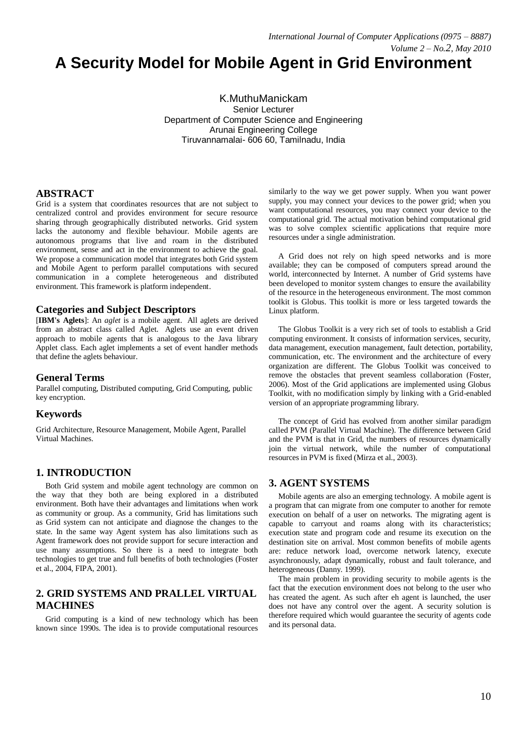# **A Security Model for Mobile Agent in Grid Environment**

K.MuthuManickam Senior Lecturer Department of Computer Science and Engineering Arunai Engineering College Tiruvannamalai- 606 60, Tamilnadu, India

# **ABSTRACT**

Grid is a system that coordinates resources that are not subject to centralized control and provides environment for secure resource sharing through geographically distributed networks. Grid system lacks the autonomy and flexible behaviour. Mobile agents are autonomous programs that live and roam in the distributed environment, sense and act in the environment to achieve the goal. We propose a communication model that integrates both Grid system and Mobile Agent to perform parallel computations with secured communication in a complete heterogeneous and distributed environment. This framework is platform independent.

## **Categories and Subject Descriptors**

[**IBM's Aglets**]: An *aglet* is a mobile agent. All aglets are derived from an abstract class called Aglet. Aglets use an event driven approach to mobile agents that is analogous to the Java library Applet class. Each aglet implements a set of event handler methods that define the aglets behaviour.

## **General Terms**

Parallel computing, Distributed computing, Grid Computing, public key encryption.

## **Keywords**

Grid Architecture, Resource Management, Mobile Agent, Parallel Virtual Machines.

# **1. INTRODUCTION**

Both Grid system and mobile agent technology are common on the way that they both are being explored in a distributed environment. Both have their advantages and limitations when work as community or group. As a community, Grid has limitations such as Grid system can not anticipate and diagnose the changes to the state. In the same way Agent system has also limitations such as Agent framework does not provide support for secure interaction and use many assumptions. So there is a need to integrate both technologies to get true and full benefits of both technologies (Foster et al., 2004, FIPA, 2001).

# **2. GRID SYSTEMS AND PRALLEL VIRTUAL MACHINES**

Grid computing is a kind of new technology which has been known since 1990s. The idea is to provide computational resources similarly to the way we get power supply. When you want power supply, you may connect your devices to the power grid; when you want computational resources, you may connect your device to the computational grid. The actual motivation behind computational grid was to solve complex scientific applications that require more resources under a single administration.

A Grid does not rely on high speed networks and is more available; they can be composed of computers spread around the world, interconnected by Internet. A number of Grid systems have been developed to monitor system changes to ensure the availability of the resource in the heterogeneous environment. The most common toolkit is Globus. This toolkit is more or less targeted towards the Linux platform.

The Globus Toolkit is a very rich set of tools to establish a Grid computing environment. It consists of information services, security, data management, execution management, fault detection, portability, communication, etc. The environment and the architecture of every organization are different. The Globus Toolkit was conceived to remove the obstacles that prevent seamless collaboration (Foster, 2006). Most of the Grid applications are implemented using Globus Toolkit, with no modification simply by linking with a Grid-enabled version of an appropriate programming library.

The concept of Grid has evolved from another similar paradigm called PVM (Parallel Virtual Machine). The difference between Grid and the PVM is that in Grid, the numbers of resources dynamically join the virtual network, while the number of computational resources in PVM is fixed (Mirza et al., 2003).

# **3. AGENT SYSTEMS**

Mobile agents are also an emerging technology. A mobile agent is a program that can migrate from one computer to another for remote execution on behalf of a user on networks. The migrating agent is capable to carryout and roams along with its characteristics; execution state and program code and resume its execution on the destination site on arrival. Most common benefits of mobile agents are: reduce network load, overcome network latency, execute asynchronously, adapt dynamically, robust and fault tolerance, and heterogeneous (Danny. 1999).

The main problem in providing security to mobile agents is the fact that the execution environment does not belong to the user who has created the agent. As such after eh agent is launched, the user does not have any control over the agent. A security solution is therefore required which would guarantee the security of agents code and its personal data.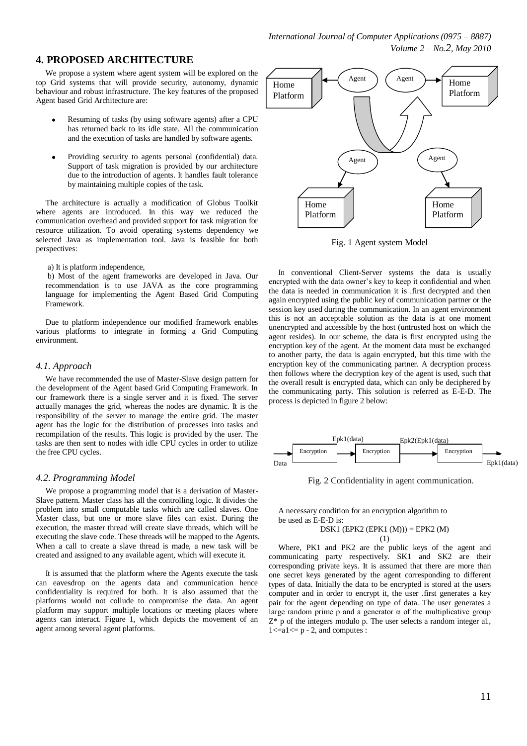## **4. PROPOSED ARCHITECTURE**

We propose a system where agent system will be explored on the top Grid systems that will provide security, autonomy, dynamic behaviour and robust infrastructure. The key features of the proposed Agent based Grid Architecture are:

- Resuming of tasks (by using software agents) after a CPU has returned back to its idle state. All the communication and the execution of tasks are handled by software agents.
- Providing security to agents personal (confidential) data.  $\bullet$ Support of task migration is provided by our architecture due to the introduction of agents. It handles fault tolerance by maintaining multiple copies of the task.

The architecture is actually a modification of Globus Toolkit where agents are introduced. In this way we reduced the communication overhead and provided support for task migration for resource utilization. To avoid operating systems dependency we selected Java as implementation tool. Java is feasible for both perspectives:

a) It is platform independence,

b) Most of the agent frameworks are developed in Java. Our recommendation is to use JAVA as the core programming language for implementing the Agent Based Grid Computing Framework.

Due to platform independence our modified framework enables various platforms to integrate in forming a Grid Computing environment.

#### *4.1. Approach*

We have recommended the use of Master-Slave design pattern for the development of the Agent based Grid Computing Framework. In our framework there is a single server and it is fixed. The server actually manages the grid, whereas the nodes are dynamic. It is the responsibility of the server to manage the entire grid. The master agent has the logic for the distribution of processes into tasks and recompilation of the results. This logic is provided by the user. The tasks are then sent to nodes with idle CPU cycles in order to utilize the free CPU cycles.

#### *4.2. Programming Model*

We propose a programming model that is a derivation of Master-Slave pattern. Master class has all the controlling logic. It divides the problem into small computable tasks which are called slaves. One Master class, but one or more slave files can exist. During the execution, the master thread will create slave threads, which will be executing the slave code. These threads will be mapped to the Agents. When a call to create a slave thread is made, a new task will be created and assigned to any available agent, which will execute it.

It is assumed that the platform where the Agents execute the task can eavesdrop on the agents data and communication hence confidentiality is required for both. It is also assumed that the platforms would not collude to compromise the data. An agent platform may support multiple locations or meeting places where agents can interact. Figure 1, which depicts the movement of an agent among several agent platforms.



Fig. 1 Agent system Model

In conventional Client-Server systems the data is usually encrypted with the data owner's key to keep it confidential and when the data is needed in communication it is .first decrypted and then again encrypted using the public key of communication partner or the session key used during the communication. In an agent environment this is not an acceptable solution as the data is at one moment unencrypted and accessible by the host (untrusted host on which the agent resides). In our scheme, the data is first encrypted using the encryption key of the agent. At the moment data must be exchanged to another party, the data is again encrypted, but this time with the encryption key of the communicating partner. A decryption process then follows where the decryption key of the agent is used, such that the overall result is encrypted data, which can only be deciphered by the communicating party. This solution is referred as E-E-D. The process is depicted in figure 2 below:



Fig. 2 Confidentiality in agent communication.

A necessary condition for an encryption algorithm to be used as E-E-D is:

DSK1 (EPK2 (EPK1  $(M))$ ) = EPK2  $(M)$ (1)

Where, PK1 and PK2 are the public keys of the agent and communicating party respectively. SK1 and SK2 are their corresponding private keys. It is assumed that there are more than one secret keys generated by the agent corresponding to different types of data. Initially the data to be encrypted is stored at the users computer and in order to encrypt it, the user .first generates a key pair for the agent depending on type of data. The user generates a large random prime p and a generator  $\alpha$  of the multiplicative group  $Z^*$  p of the integers modulo p. The user selects a random integer al,  $1 \le a1 \le p - 2$ , and computes :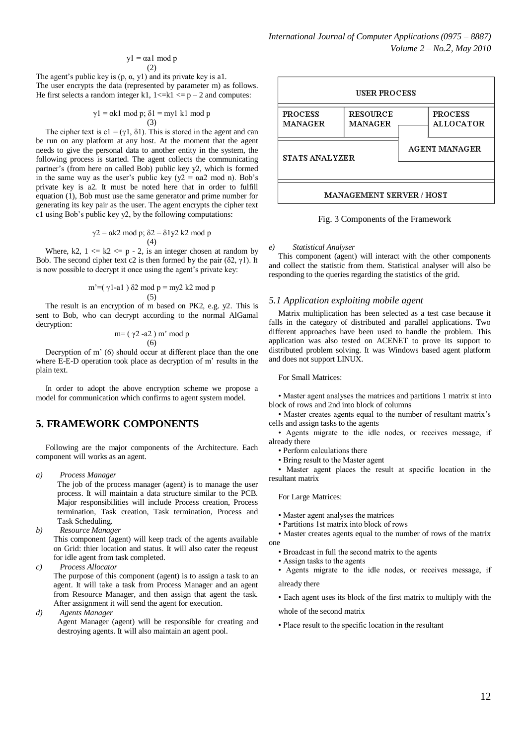$$
y1 = \alpha a1 \mod p
$$
  
(2)

The agent's public key is  $(p, \alpha, y1)$  and its private key is a1. The user encrypts the data (represented by parameter m) as follows. He first selects a random integer k1,  $1 \le k \le p - 2$  and computes:

$$
\gamma 1 = \alpha k1 \mod p; \delta 1 = myl \ k1 \mod p
$$
  
(3)

The cipher text is c1 = (γ1, δ1). This is stored in the agent and can be run on any platform at any host. At the moment that the agent needs to give the personal data to another entity in the system, the following process is started. The agent collects the communicating partner's (from here on called Bob) public key y2, which is formed in the same way as the user's public key ( $y2 = \alpha a2 \text{ mod } n$ ). Bob's private key is a2. It must be noted here that in order to fulfill equation (1), Bob must use the same generator and prime number for generating its key pair as the user. The agent encrypts the cipher text c1 using Bob's public key y2, by the following computations:

$$
\gamma
$$
2 = ak2 mod p;  $\delta$ 2 =  $\delta$ 1y2 k2 mod p  
(4)

Where,  $k2$ ,  $1 \le k2 \le p - 2$ , is an integer chosen at random by Bob. The second cipher text c2 is then formed by the pair  $(\delta 2, \gamma 1)$ . It is now possible to decrypt it once using the agent's private key:

$$
m' = (\gamma 1 - a1) \delta 2 \mod p = my2 k2 \mod p
$$
  
(5)

The result is an encryption of m based on PK2, e.g. y2. This is sent to Bob, who can decrypt according to the normal AlGamal decryption:

$$
m=(\gamma 2 - a2) m' mod p
$$
  
(6)

Decryption of m' (6) should occur at different place than the one where E-E-D operation took place as decryption of m' results in the plain text.

In order to adopt the above encryption scheme we propose a model for communication which confirms to agent system model.

# **5. FRAMEWORK COMPONENTS**

Following are the major components of the Architecture. Each component will works as an agent.

*a) Process Manager*

The job of the process manager (agent) is to manage the user process. It will maintain a data structure similar to the PCB. Major responsibilities will include Process creation, Process termination, Task creation, Task termination, Process and Task Scheduling.

*b) Resource Manager*

This component (agent) will keep track of the agents available on Grid: thier location and status. It will also cater the reqeust for idle agent from task completed.

*c) Process Allocator* The purpose of this component (agent) is to assign a task to an agent. It will take a task from Process Manager and an agent from Resource Manager, and then assign that agent the task. After assignment it will send the agent for execution.

*d) Agents Manager*

Agent Manager (agent) will be responsible for creating and destroying agents. It will also maintain an agent pool.



Fig. 3 Components of the Framework

*e) Statistical Analyser*

This component (agent) will interact with the other components and collect the statistic from them. Statistical analyser will also be responding to the queries regarding the statistics of the grid.

## *5.1 Application exploiting mobile agent*

Matrix multiplication has been selected as a test case because it falls in the category of distributed and parallel applications. Two different approaches have been used to handle the problem. This application was also tested on ACENET to prove its support to distributed problem solving. It was Windows based agent platform and does not support LINUX.

For Small Matrices:

• Master agent analyses the matrices and partitions 1 matrix st into block of rows and 2nd into block of columns

• Master creates agents equal to the number of resultant matrix's cells and assign tasks to the agents

• Agents migrate to the idle nodes, or receives message, if already there

• Perform calculations there

• Bring result to the Master agent

• Master agent places the result at specific location in the resultant matrix

#### For Large Matrices:

- Master agent analyses the matrices
- Partitions 1st matrix into block of rows

• Master creates agents equal to the number of rows of the matrix one

- Broadcast in full the second matrix to the agents
- Assign tasks to the agents
- Agents migrate to the idle nodes, or receives message, if

#### already there

• Each agent uses its block of the first matrix to multiply with the

whole of the second matrix

• Place result to the specific location in the resultant